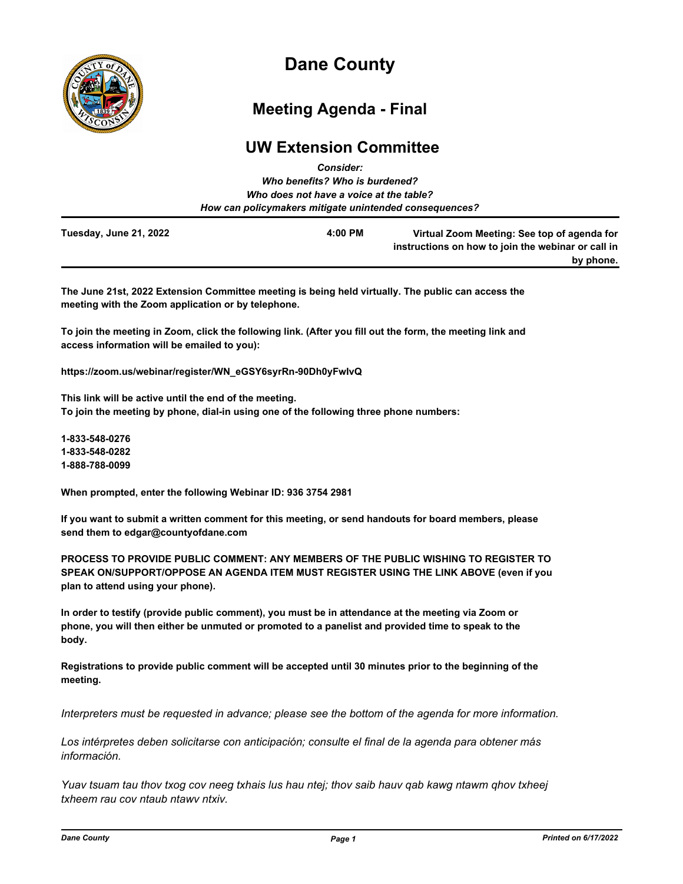

# **Dane County**

## **Meeting Agenda - Final**

### **UW Extension Committee** *Consider:*

|                        | GUISIUGI.                                              |                                                    |
|------------------------|--------------------------------------------------------|----------------------------------------------------|
|                        | Who benefits? Who is burdened?                         |                                                    |
|                        | Who does not have a voice at the table?                |                                                    |
|                        | How can policymakers mitigate unintended consequences? |                                                    |
| Tuesday, June 21, 2022 | 4:00 PM                                                | Virtual Zoom Meeting: See top of agenda for        |
|                        |                                                        | instructions on how to join the webinar or call in |
|                        |                                                        | by phone.                                          |

**The June 21st, 2022 Extension Committee meeting is being held virtually. The public can access the meeting with the Zoom application or by telephone.**

**To join the meeting in Zoom, click the following link. (After you fill out the form, the meeting link and access information will be emailed to you):**

**https://zoom.us/webinar/register/WN\_eGSY6syrRn-90Dh0yFwIvQ**

**This link will be active until the end of the meeting. To join the meeting by phone, dial-in using one of the following three phone numbers:**

**1-833-548-0276 1-833-548-0282 1-888-788-0099**

**When prompted, enter the following Webinar ID: 936 3754 2981**

**If you want to submit a written comment for this meeting, or send handouts for board members, please send them to edgar@countyofdane.com**

**PROCESS TO PROVIDE PUBLIC COMMENT: ANY MEMBERS OF THE PUBLIC WISHING TO REGISTER TO SPEAK ON/SUPPORT/OPPOSE AN AGENDA ITEM MUST REGISTER USING THE LINK ABOVE (even if you plan to attend using your phone).**

**In order to testify (provide public comment), you must be in attendance at the meeting via Zoom or phone, you will then either be unmuted or promoted to a panelist and provided time to speak to the body.**

**Registrations to provide public comment will be accepted until 30 minutes prior to the beginning of the meeting.**

*Interpreters must be requested in advance; please see the bottom of the agenda for more information.*

*Los intérpretes deben solicitarse con anticipación; consulte el final de la agenda para obtener más información.*

*Yuav tsuam tau thov txog cov neeg txhais lus hau ntej; thov saib hauv qab kawg ntawm qhov txheej txheem rau cov ntaub ntawv ntxiv.*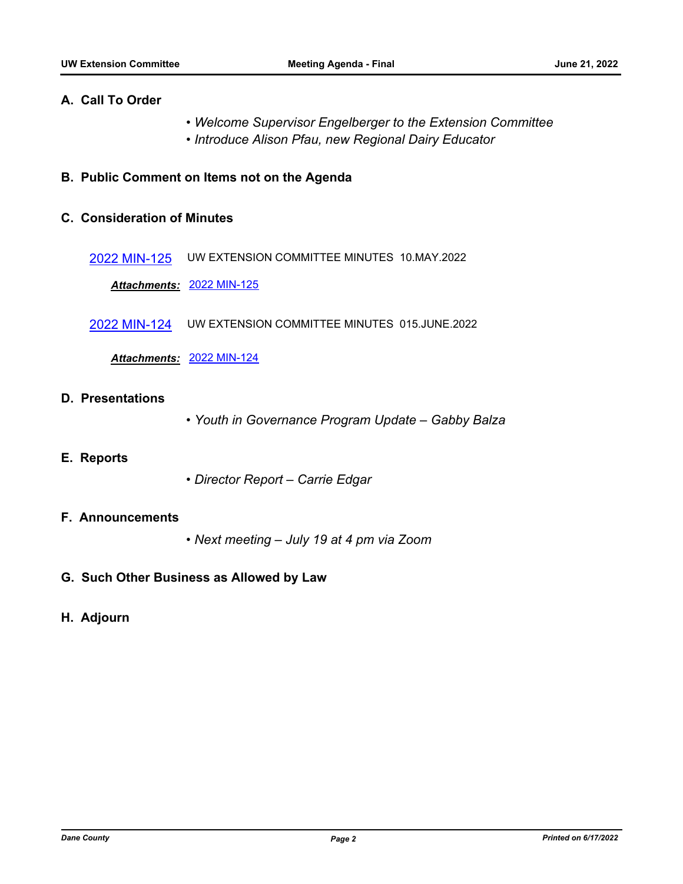#### **A. Call To Order**

- *Welcome Supervisor Engelberger to the Extension Committee*
- *Introduce Alison Pfau, new Regional Dairy Educator*

#### **B. Public Comment on Items not on the Agenda**

#### **C. Consideration of Minutes**

[2022 MIN-125](http://dane.legistar.com/gateway.aspx?m=l&id=/matter.aspx?key=23111) UW EXTENSION COMMITTEE MINUTES 10.MAY.2022

*Attachments:* [2022 MIN-125](http://dane.legistar.com/gateway.aspx?M=F&ID=a5a215e8-5263-45de-9330-d77ec24dcf71.pdf)

[2022 MIN-124](http://dane.legistar.com/gateway.aspx?m=l&id=/matter.aspx?key=23110) UW EXTENSION COMMITTEE MINUTES 015.JUNE.2022

*Attachments:* [2022 MIN-124](http://dane.legistar.com/gateway.aspx?M=F&ID=5b06c57d-5d45-47b3-a6b4-c4f16d48626b.pdf)

#### **D. Presentations**

*• Youth in Governance Program Update – Gabby Balza*

#### **E. Reports**

*• Director Report – Carrie Edgar*

#### **F. Announcements**

- *Next meeting July 19 at 4 pm via Zoom*
- **G. Such Other Business as Allowed by Law**

#### **H. Adjourn**